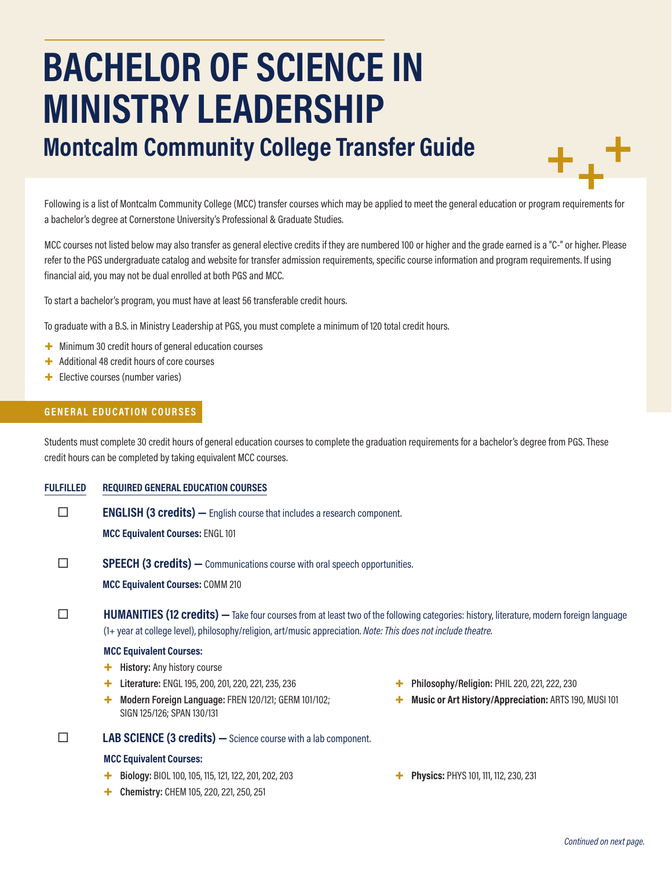# **BACHELOR OF SCIENCE IN MINISTRY LEADERSHIP**

# **Montcalm Community College Transfer Guide**

Following is a list of Montcalm Community College (MCC) transfer courses which may be applied to meet the general education or program requirements for a bachelor's degree at Cornerstone University's Professional & Graduate Studies.

MCC courses not listed below may also transfer as general elective credits if they are numbered 100 or higher and the grade earned is a "C-" or higher. Please refer to the PGS undergraduate catalog and website for transfer admission requirements, specific course information and program requirements. If using financial aid, you may not be dual enrolled at both PGS and MCC.

To start a bachelor's program, you must have at least 56 transferable credit hours.

To graduate with a B.S. in Ministry Leadership at PGS, you must complete a minimum of 120 total credit hours.

- + Minimum 30 credit hours of general education courses
- + Additional 48 credit hours of core courses
- + Elective courses (number varies)

## **GENERAL EDUCATION COURSES**

Students must complete 30 credit hours of general education courses to complete the graduation requirements for a bachelor's degree from PGS. These credit hours can be completed by taking equivalent MCC courses.

**FULFILLED REQUIRED GENERAL EDUCATION COURSES**

**ENGLISH (3 credits)** — English course that includes a research component.

**MCC Equivalent Courses:** ENGL 101

**SPEECH (3 credits)** — Communications course with oral speech opportunities.

**MCC Equivalent Courses:** COMM 210

**HUMANITIES (12 credits)** — Take four courses from at least two of the following categories: history, literature, modern foreign language (1+ year at college level), philosophy/religion, art/music appreciation. *Note: This does not include theatre.*

### **MCC Equivalent Courses:**

- + **History:** Any history course
- + **Literature:** ENGL 195, 200, 201, 220, 221, 235, 236
- + **Modern Foreign Language:** FREN 120/121; GERM 101/102; SIGN 125/126; SPAN 130/131

# **LAB SCIENCE (3 credits) —**Science course with a lab component.

#### **MCC Equivalent Courses:**

- + **Biology:** BIOL 100, 105, 115, 121, 122, 201, 202, 203
- + **Chemistry:** CHEM 105, 220, 221, 250, 251
- + **Philosophy/Religion:** PHIL 220, 221, 222, 230
- + **Music or Art History/Appreciation:** ARTS 190, MUSI 101
- + **Physics:** PHYS 101, 111, 112, 230, 231